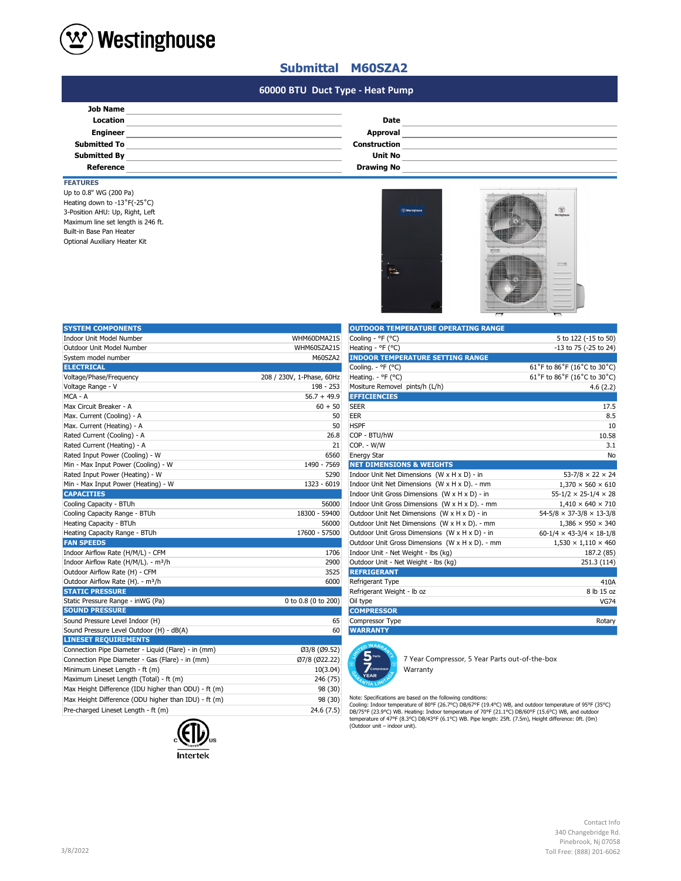

## **Submittal M60SZA2**

#### **#N/A #N/A 60000 BTU Duct Type - Heat Pump**

| <b>Job Name</b>     |                     |  |
|---------------------|---------------------|--|
|                     |                     |  |
| <b>Location</b>     | <b>Date</b>         |  |
| <b>Engineer</b>     | Approval            |  |
| <b>Submitted To</b> | <b>Construction</b> |  |
| <b>Submitted By</b> | <b>Unit No</b>      |  |
| Reference           | <b>Drawing No</b>   |  |

### **FEATURES**

Maximum line set length is 246 ft. Built-in Base Pan Heater Up to 0.8" WG (200 Pa) Heating down to -13˚F(-25˚C) Optional Auxiliary Heater Kit 3-Position AHU: Up, Right, Left



| <b>SYSTEM COMPONENTS</b>                             |                           | <b>OUTDOOR TEMPERATURE OPERATING RANGE</b>                                                                                                                                                                                                                             |                                            |
|------------------------------------------------------|---------------------------|------------------------------------------------------------------------------------------------------------------------------------------------------------------------------------------------------------------------------------------------------------------------|--------------------------------------------|
| Indoor Unit Model Number                             | WHM60DMA21S               | Cooling - °F (°C)                                                                                                                                                                                                                                                      | 5 to 122 (-15 to 50)                       |
| Outdoor Unit Model Number                            | WHM60SZA21S               | Heating - ${}^{\circ}$ F ( ${}^{\circ}$ C)                                                                                                                                                                                                                             | -13 to 75 (-25 to 24)                      |
| System model number                                  | M60SZA2                   | <b>INDOOR TEMPERATURE SETTING RANGE</b>                                                                                                                                                                                                                                |                                            |
| <b>ELECTRICAL</b>                                    |                           | Cooling. - °F (°C)                                                                                                                                                                                                                                                     | 61°F to 86°F (16°C to 30°C)                |
| Voltage/Phase/Frequency                              | 208 / 230V, 1-Phase, 60Hz | Heating. - ${}^{\circ}$ F ( ${}^{\circ}$ C)                                                                                                                                                                                                                            | 61°F to 86°F (16°C to 30°C)                |
| Voltage Range - V                                    | 198 - 253                 | Mositure Removel pints/h (L/h)                                                                                                                                                                                                                                         | 4.6(2.2)                                   |
| MCA - A                                              | $56.7 + 49.9$             | <b>EFFICIENCIES</b>                                                                                                                                                                                                                                                    |                                            |
| Max Circuit Breaker - A                              | $60 + 50$                 | <b>SEER</b>                                                                                                                                                                                                                                                            | 17.5                                       |
| Max. Current (Cooling) - A                           | 50                        | <b>EER</b>                                                                                                                                                                                                                                                             | 8.5                                        |
| Max. Current (Heating) - A                           | 50                        | <b>HSPF</b>                                                                                                                                                                                                                                                            | 10                                         |
| Rated Current (Cooling) - A                          | 26.8                      | COP - BTU/hW                                                                                                                                                                                                                                                           | 10.58                                      |
| Rated Current (Heating) - A                          | 21                        | COP. - W/W                                                                                                                                                                                                                                                             | 3.1                                        |
| Rated Input Power (Cooling) - W                      | 6560                      | <b>Energy Star</b>                                                                                                                                                                                                                                                     | No                                         |
| Min - Max Input Power (Cooling) - W                  | 1490 - 7569               | <b>NET DIMENSIONS &amp; WEIGHTS</b>                                                                                                                                                                                                                                    |                                            |
| Rated Input Power (Heating) - W                      | 5290                      | Indoor Unit Net Dimensions (W x H x D) - in                                                                                                                                                                                                                            | $53 - 7/8 \times 22 \times 24$             |
| Min - Max Input Power (Heating) - W                  | 1323 - 6019               | Indoor Unit Net Dimensions (W x H x D). - mm                                                                                                                                                                                                                           | $1,370 \times 560 \times 610$              |
| <b>CAPACITIES</b>                                    |                           | Indoor Unit Gross Dimensions (W x H x D) - in                                                                                                                                                                                                                          | $55 - 1/2 \times 25 - 1/4 \times 28$       |
| Cooling Capacity - BTUh                              | 56000                     | Indoor Unit Gross Dimensions (W x H x D). - mm                                                                                                                                                                                                                         | $1,410 \times 640 \times 710$              |
| Cooling Capacity Range - BTUh                        | 18300 - 59400             | Outdoor Unit Net Dimensions (W x H x D) - in                                                                                                                                                                                                                           | $54 - 5/8 \times 37 - 3/8 \times 13 - 3/8$ |
| Heating Capacity - BTUh                              | 56000                     | Outdoor Unit Net Dimensions (W x H x D). - mm                                                                                                                                                                                                                          | $1,386 \times 950 \times 340$              |
| Heating Capacity Range - BTUh                        | 17600 - 57500             | Outdoor Unit Gross Dimensions (W x H x D) - in                                                                                                                                                                                                                         | $60-1/4 \times 43-3/4 \times 18-1/8$       |
| <b>FAN SPEEDS</b>                                    |                           | Outdoor Unit Gross Dimensions (W x H x D). - mm                                                                                                                                                                                                                        | $1,530 \times 1,110 \times 460$            |
| Indoor Airflow Rate (H/M/L) - CFM                    | 1706                      | Indoor Unit - Net Weight - lbs (kg)                                                                                                                                                                                                                                    | 187.2 (85)                                 |
| Indoor Airflow Rate (H/M/L). - m <sup>3</sup> /h     | 2900                      | Outdoor Unit - Net Weight - Ibs (kg)                                                                                                                                                                                                                                   | 251.3 (114)                                |
| Outdoor Airflow Rate (H) - CFM                       | 3525                      | <b>REFRIGERANT</b>                                                                                                                                                                                                                                                     |                                            |
| Outdoor Airflow Rate (H). - m <sup>3</sup> /h        | 6000                      | Refrigerant Type                                                                                                                                                                                                                                                       | 410A                                       |
| <b>STATIC PRESSURE</b>                               |                           | Refrigerant Weight - Ib oz                                                                                                                                                                                                                                             | 8 lb 15 oz                                 |
| Static Pressure Range - inWG (Pa)                    | 0 to 0.8 (0 to 200)       | Oil type                                                                                                                                                                                                                                                               | <b>VG74</b>                                |
| <b>SOUND PRESSURE</b>                                |                           | <b>COMPRESSOR</b>                                                                                                                                                                                                                                                      |                                            |
| Sound Pressure Level Indoor (H)                      | 65                        | Compressor Type                                                                                                                                                                                                                                                        | Rotary                                     |
| Sound Pressure Level Outdoor (H) - dB(A)             | 60                        | <b>WARRANTY</b>                                                                                                                                                                                                                                                        |                                            |
| <b>LINESET REQUIREMENTS</b>                          |                           | <b>O WARA</b>                                                                                                                                                                                                                                                          |                                            |
| Connection Pipe Diameter - Liquid (Flare) - in (mm)  | Ø3/8 (Ø9.52)              |                                                                                                                                                                                                                                                                        |                                            |
| Connection Pipe Diameter - Gas (Flare) - in (mm)     | Ø7/8 (Ø22.22)             | 7 Year Compressor, 5 Year Parts out-of-the-box                                                                                                                                                                                                                         |                                            |
| Minimum Lineset Length - ft (m)                      | 10(3.04)                  | C <sub>OMM</sub><br>Warranty                                                                                                                                                                                                                                           |                                            |
| Maximum Lineset Length (Total) - ft (m)              | 246 (75)                  | YEAR                                                                                                                                                                                                                                                                   |                                            |
| Max Height Difference (IDU higher than ODU) - ft (m) | 98 (30)                   |                                                                                                                                                                                                                                                                        |                                            |
| Max Height Difference (ODU higher than IDU) - ft (m) | 98 (30)                   | Note: Specifications are based on the following conditions:                                                                                                                                                                                                            |                                            |
| Pre-charged Lineset Length - ft (m)                  | 24.6(7.5)                 | Cooling: Indoor temperature of 80°F (26.7°C) DB/67°F (19.4°C) WB, and outdoor temperature of 95°F (35°C)<br>DB/75°F (23.9°C) WB. Heating: Indoor temperature of 70°F (21.1°C) DB/60°F (15.6°C) WB, and outdoor<br>$-0.000$ $(0.000)$ $D = 0.000$ $(0.000)$ $D = 0.000$ |                                            |



| <b>OUTDOOR TEMPERATURE OPERATING RANGE</b>      |                                            |
|-------------------------------------------------|--------------------------------------------|
| Cooling - °F (°C)                               | 5 to 122 (-15 to 50)                       |
| Heating - ${}^{\circ}$ F ( ${}^{\circ}$ C)      | -13 to 75 (-25 to 24)                      |
| <b>INDOOR TEMPERATURE SETTING RANGE</b>         |                                            |
| Cooling. - °F (°C)                              | 61°F to 86°F (16°C to 30°C)                |
| Heating. - ${}^{\circ}$ F ( ${}^{\circ}$ C)     | 61°F to 86°F (16°C to 30°C)                |
| Mositure Removel pints/h (L/h)                  | 4.6(2.2)                                   |
| <b>EFFICIENCIES</b>                             |                                            |
| <b>SEER</b>                                     | 17.5                                       |
| <b>EER</b>                                      | 8.5                                        |
| <b>HSPF</b>                                     | 10                                         |
| COP - BTU/hW                                    | 10.58                                      |
| COP. - W/W                                      | 3.1                                        |
| <b>Energy Star</b>                              | No                                         |
| <b>NET DIMENSIONS &amp; WEIGHTS</b>             |                                            |
| Indoor Unit Net Dimensions (W x H x D) - in     | $53 - 7/8 \times 22 \times 24$             |
| Indoor Unit Net Dimensions (W x H x D). - mm    | $1,370 \times 560 \times 610$              |
| Indoor Unit Gross Dimensions (W x H x D) - in   | $55 - 1/2 \times 25 - 1/4 \times 28$       |
| Indoor Unit Gross Dimensions (W x H x D). - mm  | $1,410 \times 640 \times 710$              |
| Outdoor Unit Net Dimensions (W x H x D) - in    | $54 - 5/8 \times 37 - 3/8 \times 13 - 3/8$ |
| Outdoor Unit Net Dimensions (W x H x D). - mm   | $1,386 \times 950 \times 340$              |
| Outdoor Unit Gross Dimensions (W x H x D) - in  | $60-1/4 \times 43-3/4 \times 18-1/8$       |
| Outdoor Unit Gross Dimensions (W x H x D). - mm | $1,530 \times 1,110 \times 460$            |
| Indoor Unit - Net Weight - Ibs (kg)             | 187.2 (85)                                 |
| Outdoor Unit - Net Weight - Ibs (kg)            | 251.3 (114)                                |
| <b>REFRIGERANT</b>                              |                                            |
| Refrigerant Type                                | 410A                                       |
| Refrigerant Weight - Ib oz                      | 8 lb 15 oz                                 |
| Oil type                                        | <b>VG74</b>                                |
| <b>COMPRESSOR</b>                               |                                            |
| Compressor Type                                 | Rotary                                     |
| <b>WARRANTY</b>                                 |                                            |



Note: Specifications are based on the following conditions:<br>Cooling: Indoor temperature of 80°F (26.7°C) DB/67°F (19.4°C) WB, and outdoor temperature of 95°F (35°C)<br>DB/75°F (23.9°C) WB. Heating: Indoor temperature of 70°F